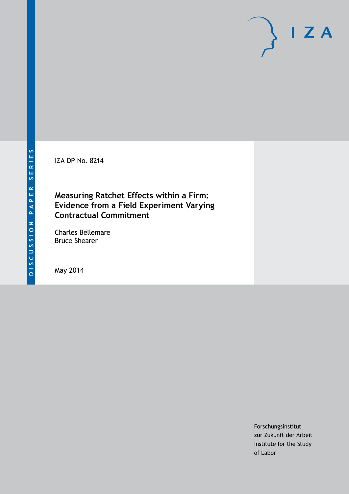IZA DP No. 8214

## **Measuring Ratchet Effects within a Firm: Evidence from a Field Experiment Varying Contractual Commitment**

Charles Bellemare Bruce Shearer

May 2014

Forschungsinstitut zur Zukunft der Arbeit Institute for the Study of Labor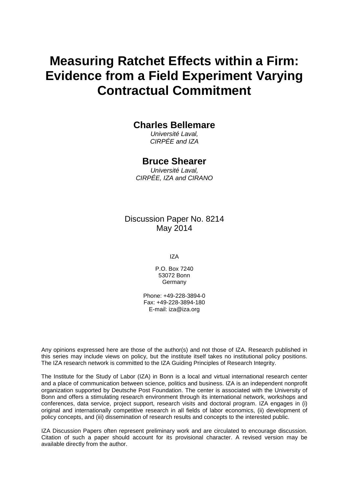# **Measuring Ratchet Effects within a Firm: Evidence from a Field Experiment Varying Contractual Commitment**

## **Charles Bellemare**

*Université Laval, CIRPÉE and IZA*

## **Bruce Shearer**

*Université Laval, CIRPÉE, IZA and CIRANO*

Discussion Paper No. 8214 May 2014

IZA

P.O. Box 7240 53072 Bonn **Germany** 

Phone: +49-228-3894-0 Fax: +49-228-3894-180 E-mail: [iza@iza.org](mailto:iza@iza.org)

Any opinions expressed here are those of the author(s) and not those of IZA. Research published in this series may include views on policy, but the institute itself takes no institutional policy positions. The IZA research network is committed to the IZA Guiding Principles of Research Integrity.

The Institute for the Study of Labor (IZA) in Bonn is a local and virtual international research center and a place of communication between science, politics and business. IZA is an independent nonprofit organization supported by Deutsche Post Foundation. The center is associated with the University of Bonn and offers a stimulating research environment through its international network, workshops and conferences, data service, project support, research visits and doctoral program. IZA engages in (i) original and internationally competitive research in all fields of labor economics, (ii) development of policy concepts, and (iii) dissemination of research results and concepts to the interested public.

IZA Discussion Papers often represent preliminary work and are circulated to encourage discussion. Citation of such a paper should account for its provisional character. A revised version may be available directly from the author.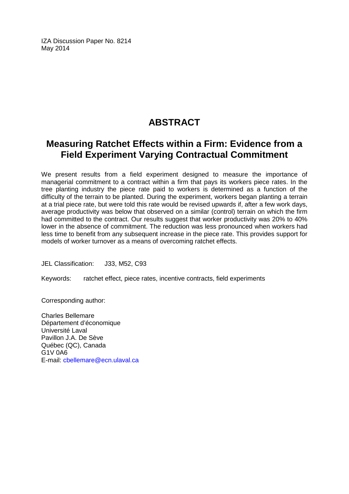IZA Discussion Paper No. 8214 May 2014

# **ABSTRACT**

## **Measuring Ratchet Effects within a Firm: Evidence from a Field Experiment Varying Contractual Commitment**

We present results from a field experiment designed to measure the importance of managerial commitment to a contract within a firm that pays its workers piece rates. In the tree planting industry the piece rate paid to workers is determined as a function of the difficulty of the terrain to be planted. During the experiment, workers began planting a terrain at a trial piece rate, but were told this rate would be revised upwards if, after a few work days, average productivity was below that observed on a similar (control) terrain on which the firm had committed to the contract. Our results suggest that worker productivity was 20% to 40% lower in the absence of commitment. The reduction was less pronounced when workers had less time to benefit from any subsequent increase in the piece rate. This provides support for models of worker turnover as a means of overcoming ratchet effects.

JEL Classification: J33, M52, C93

Keywords: ratchet effect, piece rates, incentive contracts, field experiments

Corresponding author:

Charles Bellemare Département d'économique Université Laval Pavillon J.A. De Sève Québec (QC), Canada G1V 0A6 E-mail: [cbellemare@ecn.ulaval.ca](mailto:cbellemare@ecn.ulaval.ca)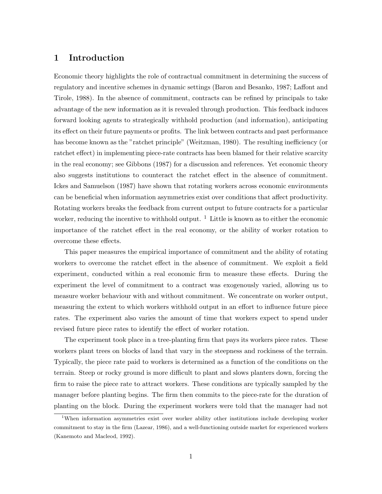#### **1 Introduction**

Economic theory highlights the role of contractual commitment in determining the success of regulatory and incentive schemes in dynamic settings (Baron and Besanko, 1987; Laffont and Tirole, 1988). In the absence of commitment, contracts can be refined by principals to take advantage of the new information as it is revealed through production. This feedback induces forward looking agents to strategically withhold production (and information), anticipating its effect on their future payments or profits. The link between contracts and past performance has become known as the "ratchet principle" (Weitzman, 1980). The resulting inefficiency (or ratchet effect) in implementing piece-rate contracts has been blamed for their relative scarcity in the real economy; see Gibbons (1987) for a discussion and references. Yet economic theory also suggests institutions to counteract the ratchet effect in the absence of commitment. Ickes and Samuelson (1987) have shown that rotating workers across economic environments can be beneficial when information asymmetries exist over conditions that affect productivity. Rotating workers breaks the feedback from current output to future contracts for a particular worker, reducing the incentive to withhold output.  $\frac{1}{1}$  Little is known as to either the economic importance of the ratchet effect in the real economy, or the ability of worker rotation to overcome these effects.

This paper measures the empirical importance of commitment and the ability of rotating workers to overcome the ratchet effect in the absence of commitment. We exploit a field experiment, conducted within a real economic firm to measure these effects. During the experiment the level of commitment to a contract was exogenously varied, allowing us to measure worker behaviour with and without commitment. We concentrate on worker output, measuring the extent to which workers withhold output in an effort to influence future piece rates. The experiment also varies the amount of time that workers expect to spend under revised future piece rates to identify the effect of worker rotation.

The experiment took place in a tree-planting firm that pays its workers piece rates. These workers plant trees on blocks of land that vary in the steepness and rockiness of the terrain. Typically, the piece rate paid to workers is determined as a function of the conditions on the terrain. Steep or rocky ground is more difficult to plant and slows planters down, forcing the firm to raise the piece rate to attract workers. These conditions are typically sampled by the manager before planting begins. The firm then commits to the piece-rate for the duration of planting on the block. During the experiment workers were told that the manager had not

<sup>&</sup>lt;sup>1</sup>When information asymmetries exist over worker ability other institutions include developing worker commitment to stay in the firm (Lazear, 1986), and a well-functioning outside market for experienced workers (Kanemoto and Macleod, 1992).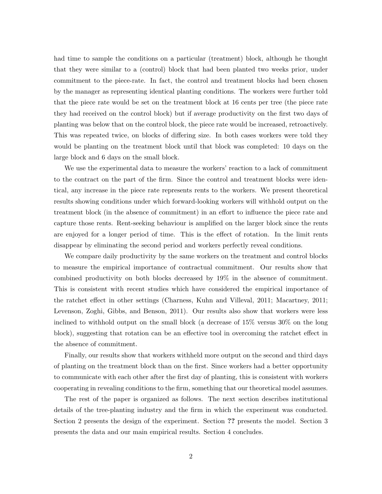had time to sample the conditions on a particular (treatment) block, although he thought that they were similar to a (control) block that had been planted two weeks prior, under commitment to the piece-rate. In fact, the control and treatment blocks had been chosen by the manager as representing identical planting conditions. The workers were further told that the piece rate would be set on the treatment block at 16 cents per tree (the piece rate they had received on the control block) but if average productivity on the first two days of planting was below that on the control block, the piece rate would be increased, retroactively. This was repeated twice, on blocks of differing size. In both cases workers were told they would be planting on the treatment block until that block was completed: 10 days on the large block and 6 days on the small block.

We use the experimental data to measure the workers' reaction to a lack of commitment to the contract on the part of the firm. Since the control and treatment blocks were identical, any increase in the piece rate represents rents to the workers. We present theoretical results showing conditions under which forward-looking workers will withhold output on the treatment block (in the absence of commitment) in an effort to influence the piece rate and capture those rents. Rent-seeking behaviour is amplified on the larger block since the rents are enjoyed for a longer period of time. This is the effect of rotation. In the limit rents disappear by eliminating the second period and workers perfectly reveal conditions.

We compare daily productivity by the same workers on the treatment and control blocks to measure the empirical importance of contractual commitment. Our results show that combined productivity on both blocks decreased by 19% in the absence of commitment. This is consistent with recent studies which have considered the empirical importance of the ratchet effect in other settings (Charness, Kuhn and Villeval, 2011; Macartney, 2011; Levenson, Zoghi, Gibbs, and Benson, 2011). Our results also show that workers were less inclined to withhold output on the small block (a decrease of 15% versus 30% on the long block), suggesting that rotation can be an effective tool in overcoming the ratchet effect in the absence of commitment.

Finally, our results show that workers withheld more output on the second and third days of planting on the treatment block than on the first. Since workers had a better opportunity to communicate with each other after the first day of planting, this is consistent with workers cooperating in revealing conditions to the firm, something that our theoretical model assumes.

The rest of the paper is organized as follows. The next section describes institutional details of the tree-planting industry and the firm in which the experiment was conducted. Section 2 presents the design of the experiment. Section **??** presents the model. Section 3 presents the data and our main empirical results. Section 4 concludes.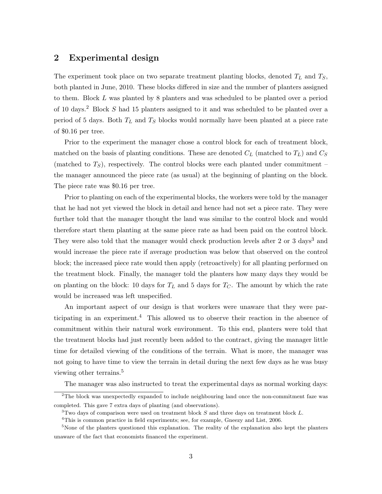#### **2 Experimental design**

The experiment took place on two separate treatment planting blocks, denoted *T<sup>L</sup>* and *TS*, both planted in June, 2010. These blocks differed in size and the number of planters assigned to them. Block *L* was planted by 8 planters and was scheduled to be planted over a period of 10 days.<sup>2</sup> Block *S* had 15 planters assigned to it and was scheduled to be planted over a period of 5 days. Both *T<sup>L</sup>* and *T<sup>S</sup>* blocks would normally have been planted at a piece rate of \$0.16 per tree.

Prior to the experiment the manager chose a control block for each of treatment block, matched on the basis of planting conditions. These are denoted  $C_L$  (matched to  $T_L$ ) and  $C_S$ (matched to *TS*), respectively. The control blocks were each planted under commitment – the manager announced the piece rate (as usual) at the beginning of planting on the block. The piece rate was \$0.16 per tree.

Prior to planting on each of the experimental blocks, the workers were told by the manager that he had not yet viewed the block in detail and hence had not set a piece rate. They were further told that the manager thought the land was similar to the control block and would therefore start them planting at the same piece rate as had been paid on the control block. They were also told that the manager would check production levels after 2 or 3 days<sup>3</sup> and would increase the piece rate if average production was below that observed on the control block; the increased piece rate would then apply (retroactively) for all planting performed on the treatment block. Finally, the manager told the planters how many days they would be on planting on the block: 10 days for  $T_L$  and 5 days for  $T_C$ . The amount by which the rate would be increased was left unspecified.

An important aspect of our design is that workers were unaware that they were participating in an experiment.<sup>4</sup> This allowed us to observe their reaction in the absence of commitment within their natural work environment. To this end, planters were told that the treatment blocks had just recently been added to the contract, giving the manager little time for detailed viewing of the conditions of the terrain. What is more, the manager was not going to have time to view the terrain in detail during the next few days as he was busy viewing other terrains.<sup>5</sup>

The manager was also instructed to treat the experimental days as normal working days:

<sup>2</sup>The block was unexpectedly expanded to include neighbouring land once the non-commitment faze was completed. This gave 7 extra days of planting (and observations).

<sup>3</sup>Two days of comparison were used on treatment block *S* and three days on treatment block *L*.

<sup>4</sup>This is common practice in field experiments; see, for example, Gneezy and List, 2006.

<sup>&</sup>lt;sup>5</sup>None of the planters questioned this explanation. The reality of the explanation also kept the planters unaware of the fact that economists financed the experiment.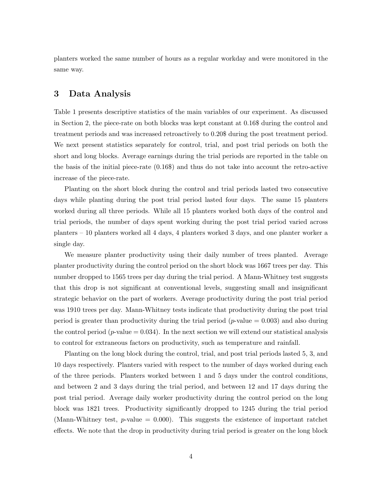planters worked the same number of hours as a regular workday and were monitored in the same way.

#### **3 Data Analysis**

Table 1 presents descriptive statistics of the main variables of our experiment. As discussed in Section 2, the piece-rate on both blocks was kept constant at 0.16\$ during the control and treatment periods and was increased retroactively to 0.20\$ during the post treatment period. We next present statistics separately for control, trial, and post trial periods on both the short and long blocks. Average earnings during the trial periods are reported in the table on the basis of the initial piece-rate (0.16\$) and thus do not take into account the retro-active increase of the piece-rate.

Planting on the short block during the control and trial periods lasted two consecutive days while planting during the post trial period lasted four days. The same 15 planters worked during all three periods. While all 15 planters worked both days of the control and trial periods, the number of days spent working during the post trial period varied across planters – 10 planters worked all 4 days, 4 planters worked 3 days, and one planter worker a single day.

We measure planter productivity using their daily number of trees planted. Average planter productivity during the control period on the short block was 1667 trees per day. This number dropped to 1565 trees per day during the trial period. A Mann-Whitney test suggests that this drop is not significant at conventional levels, suggesting small and insignificant strategic behavior on the part of workers. Average productivity during the post trial period was 1910 trees per day. Mann-Whitney tests indicate that productivity during the post trial period is greater than productivity during the trial period (*p*-value = 0.003) and also during the control period ( $p$ -value  $= 0.034$ ). In the next section we will extend our statistical analysis to control for extraneous factors on productivity, such as temperature and rainfall.

Planting on the long block during the control, trial, and post trial periods lasted 5, 3, and 10 days respectively. Planters varied with respect to the number of days worked during each of the three periods. Planters worked between 1 and 5 days under the control conditions, and between 2 and 3 days during the trial period, and between 12 and 17 days during the post trial period. Average daily worker productivity during the control period on the long block was 1821 trees. Productivity significantly dropped to 1245 during the trial period (Mann-Whitney test,  $p$ -value = 0.000). This suggests the existence of important ratchet effects. We note that the drop in productivity during trial period is greater on the long block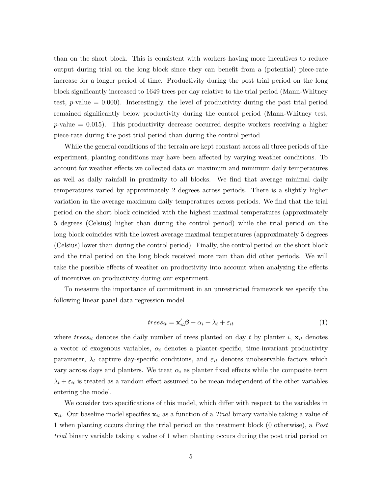than on the short block. This is consistent with workers having more incentives to reduce output during trial on the long block since they can benefit from a (potential) piece-rate increase for a longer period of time. Productivity during the post trial period on the long block significantly increased to 1649 trees per day relative to the trial period (Mann-Whitney test, *p*-value = 0.000). Interestingly, the level of productivity during the post trial period remained significantly below productivity during the control period (Mann-Whitney test,  $p$ -value  $= 0.015$ ). This productivity decrease occurred despite workers receiving a higher piece-rate during the post trial period than during the control period.

While the general conditions of the terrain are kept constant across all three periods of the experiment, planting conditions may have been affected by varying weather conditions. To account for weather effects we collected data on maximum and minimum daily temperatures as well as daily rainfall in proximity to all blocks. We find that average minimal daily temperatures varied by approximately 2 degrees across periods. There is a slightly higher variation in the average maximum daily temperatures across periods. We find that the trial period on the short block coincided with the highest maximal temperatures (approximately 5 degrees (Celsius) higher than during the control period) while the trial period on the long block coincides with the lowest average maximal temperatures (approximately 5 degrees (Celsius) lower than during the control period). Finally, the control period on the short block and the trial period on the long block received more rain than did other periods. We will take the possible effects of weather on productivity into account when analyzing the effects of incentives on productivity during our experiment.

To measure the importance of commitment in an unrestricted framework we specify the following linear panel data regression model

$$
trees_{it} = \mathbf{x}'_{it} \boldsymbol{\beta} + \alpha_i + \lambda_t + \varepsilon_{it}
$$
\n<sup>(1)</sup>

where  $trees_{it}$  denotes the daily number of trees planted on day t by planter i,  $\mathbf{x}_{it}$  denotes a vector of exogenous variables, *α<sup>i</sup>* denotes a planter-specific, time-invariant productivity parameter,  $\lambda_t$  capture day-specific conditions, and  $\varepsilon_{it}$  denotes unobservable factors which vary across days and planters. We treat  $\alpha_i$  as planter fixed effects while the composite term  $\lambda_t + \varepsilon_{it}$  is treated as a random effect assumed to be mean independent of the other variables entering the model.

We consider two specifications of this model, which differ with respect to the variables in  $\mathbf{x}_{it}$ . Our baseline model specifies  $\mathbf{x}_{it}$  as a function of a *Trial* binary variable taking a value of 1 when planting occurs during the trial period on the treatment block (0 otherwise), a *Post trial* binary variable taking a value of 1 when planting occurs during the post trial period on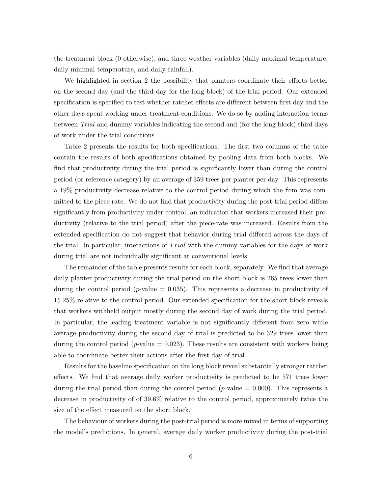the treatment block (0 otherwise), and three weather variables (daily maximal temperature, daily minimal temperature, and daily rainfall).

We highlighted in section 2 the possibility that planters coordinate their efforts better on the second day (and the third day for the long block) of the trial period. Our extended specification is specified to test whether ratchet effects are different between first day and the other days spent working under treatment conditions. We do so by adding interaction terms between *Trial* and dummy variables indicating the second and (for the long block) third days of work under the trial conditions.

Table 2 presents the results for both specifications. The first two columns of the table contain the results of both specifications obtained by pooling data from both blocks. We find that productivity during the trial period is significantly lower than during the control period (or reference category) by an average of 359 trees per planter per day. This represents a 19% productivity decrease relative to the control period during which the firm was committed to the piece rate. We do not find that productivity during the post-trial period differs significantly from productivity under control, an indication that workers increased their productivity (relative to the trial period) after the piece-rate was increased. Results from the extended specification do not suggest that behavior during trial differed across the days of the trial. In particular, interactions of *T rial* with the dummy variables for the days of work during trial are not individually significant at conventional levels.

The remainder of the table presents results for each block, separately. We find that average daily planter productivity during the trial period on the short block is 265 trees lower than during the control period ( $p$ -value  $= 0.035$ ). This represents a decrease in productivity of 15.25% relative to the control period. Our extended specification for the short block reveals that workers withheld output mostly during the second day of work during the trial period. In particular, the leading treatment variable is not significantly different from zero while average productivity during the second day of trial is predicted to be 329 trees lower than during the control period ( $p$ -value  $= 0.023$ ). These results are consistent with workers being able to coordinate better their actions after the first day of trial.

Results for the baseline specification on the long block reveal substantially stronger ratchet effects. We find that average daily worker productivity is predicted to be 571 trees lower during the trial period than during the control period  $(p$ -value  $= 0.000$ ). This represents a decrease in productivity of of 39.6% relative to the control period, approximately twice the size of the effect measured on the short block.

The behaviour of workers during the post-trial period is more mixed in terms of supporting the model's predictions. In general, average daily worker productivity during the post-trial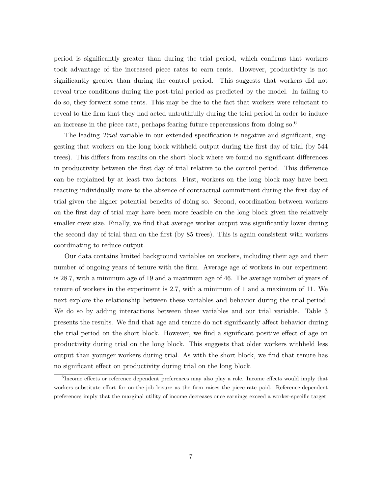period is significantly greater than during the trial period, which confirms that workers took advantage of the increased piece rates to earn rents. However, productivity is not significantly greater than during the control period. This suggests that workers did not reveal true conditions during the post-trial period as predicted by the model. In failing to do so, they forwent some rents. This may be due to the fact that workers were reluctant to reveal to the firm that they had acted untruthfully during the trial period in order to induce an increase in the piece rate, perhaps fearing future repercussions from doing  $\mathrm{so}^6$ 

The leading *Trial* variable in our extended specification is negative and significant, suggesting that workers on the long block withheld output during the first day of trial (by 544 trees). This differs from results on the short block where we found no significant differences in productivity between the first day of trial relative to the control period. This difference can be explained by at least two factors. First, workers on the long block may have been reacting individually more to the absence of contractual commitment during the first day of trial given the higher potential benefits of doing so. Second, coordination between workers on the first day of trial may have been more feasible on the long block given the relatively smaller crew size. Finally, we find that average worker output was significantly lower during the second day of trial than on the first (by 85 trees). This is again consistent with workers coordinating to reduce output.

Our data contains limited background variables on workers, including their age and their number of ongoing years of tenure with the firm. Average age of workers in our experiment is 28.7, with a minimum age of 19 and a maximum age of 46. The average number of years of tenure of workers in the experiment is 2.7, with a minimum of 1 and a maximum of 11. We next explore the relationship between these variables and behavior during the trial period. We do so by adding interactions between these variables and our trial variable. Table 3 presents the results. We find that age and tenure do not significantly affect behavior during the trial period on the short block. However, we find a significant positive effect of age on productivity during trial on the long block. This suggests that older workers withheld less output than younger workers during trial. As with the short block, we find that tenure has no significant effect on productivity during trial on the long block.

<sup>&</sup>lt;sup>6</sup>Income effects or reference dependent preferences may also play a role. Income effects would imply that workers substitute effort for on-the-job leisure as the firm raises the piece-rate paid. Reference-dependent preferences imply that the marginal utility of income decreases once earnings exceed a worker-specific target.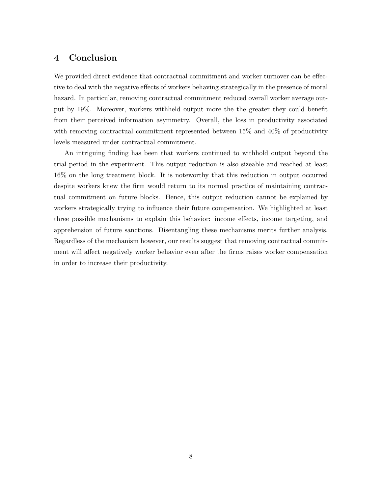#### **4 Conclusion**

We provided direct evidence that contractual commitment and worker turnover can be effective to deal with the negative effects of workers behaving strategically in the presence of moral hazard. In particular, removing contractual commitment reduced overall worker average output by 19%. Moreover, workers withheld output more the the greater they could benefit from their perceived information asymmetry. Overall, the loss in productivity associated with removing contractual commitment represented between 15% and 40% of productivity levels measured under contractual commitment.

An intriguing finding has been that workers continued to withhold output beyond the trial period in the experiment. This output reduction is also sizeable and reached at least 16% on the long treatment block. It is noteworthy that this reduction in output occurred despite workers knew the firm would return to its normal practice of maintaining contractual commitment on future blocks. Hence, this output reduction cannot be explained by workers strategically trying to influence their future compensation. We highlighted at least three possible mechanisms to explain this behavior: income effects, income targeting, and apprehension of future sanctions. Disentangling these mechanisms merits further analysis. Regardless of the mechanism however, our results suggest that removing contractual commitment will affect negatively worker behavior even after the firms raises worker compensation in order to increase their productivity.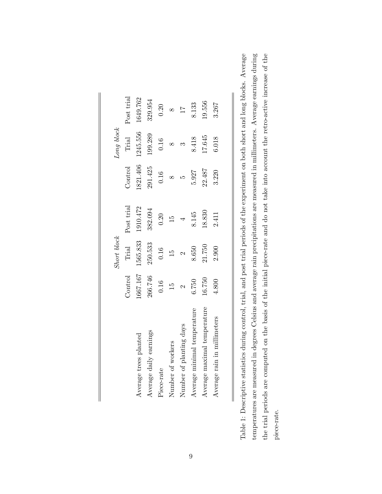|                             |                | <b>Short</b> block |               |         | Long block |                 |
|-----------------------------|----------------|--------------------|---------------|---------|------------|-----------------|
|                             | <b>Control</b> | Trial              | Post trial    | Control | Trial      | Post trial      |
| Average trees planted       | 067.167        | 1565.833           | 1910.472      | 821.406 | 1245.556   | 1649.762        |
| Average daily earnings      | 266.746        | 250.533            | 382.094       | 291.425 | 199.289    | 329.954         |
| Piece-rate                  | 0.16           | 0.16               | 0.20          | 0.16    | 0.16       | 0.20            |
| Number of workers           | $\frac{5}{10}$ | $\frac{15}{2}$     | $\frac{5}{2}$ |         |            |                 |
| Number of planting days     |                |                    |               | LΟ      |            | $\overline{11}$ |
| Average minimal temperature | 6.750          | 8.650              | 8.145         | 5.927   | 8.418      | 8.133           |
| Average maximal temperature | 16.750         | 21.750             | 18.830        | 22.487  | 17.645     | 19.556          |
| Average rain in millimeters | 4.800          | 2.900              | 2.411         | 3.220   | 6.018      | 3.267           |

Table 1: Descriptive statistics during control, trial, and post trial periods of the experiment on both short and long blocks. Average temperatures are measured in degrees Celsius and average rain precipitations are measured in millimeters. Average earnings during the trial periods are computed on the basis of the initial piece-rate and do not take into account the retro-active increase of the Table 1: Descriptive statistics during control, trial, and post trial periods of the experiment on both short and long blocks. Average temperatures are measured in degrees Celsius and average rain precipitations are measured in millimeters. Average earnings during the trial periods are computed on the basis of the initial piece-rate and do not take into account the retro-active increase of the piece-rate.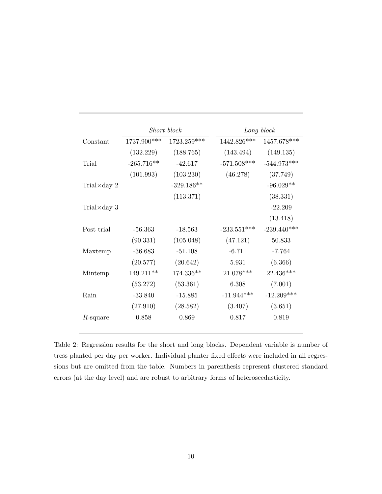|                      |              | Short block  |               | Long block    |
|----------------------|--------------|--------------|---------------|---------------|
| Constant             | 1737.900***  | 1723.259***  | 1442.826***   | 1457.678***   |
|                      | (132.229)    | (188.765)    | (143.494)     | (149.135)     |
| Trial                | $-265.716**$ | $-42.617$    | $-571.508***$ | $-544.973***$ |
|                      | (101.993)    | (103.230)    | (46.278)      | (37.749)      |
| Trial $\times$ day 2 |              | $-329.186**$ |               | $-96.029**$   |
|                      |              | (113.371)    |               | (38.331)      |
| Trial $\times$ day 3 |              |              |               | $-22.209$     |
|                      |              |              |               | (13.418)      |
| Post trial           | $-56.363$    | $-18.563$    | $-233.551***$ | $-239.440***$ |
|                      | (90.331)     | (105.048)    | (47.121)      | 50.833        |
| Maxtemp              | $-36.683$    | $-51.108$    | $-6.711$      | $-7.764$      |
|                      | (20.577)     | (20.642)     | 5.931         | (6.366)       |
| Mintemp              | $149.211**$  | 174.336**    | 21.078***     | 22.436***     |
|                      | (53.272)     | (53.361)     | 6.308         | (7.001)       |
| Rain                 | $-33.840$    | $-15.885$    | $-11.944***$  | $-12.209***$  |
|                      | (27.910)     | (28.582)     | (3.407)       | (3.651)       |
| $R$ -square          | 0.858        | 0.869        | 0.817         | 0.819         |

Table 2: Regression results for the short and long blocks. Dependent variable is number of tress planted per day per worker. Individual planter fixed effects were included in all regressions but are omitted from the table. Numbers in parenthesis represent clustered standard errors (at the day level) and are robust to arbitrary forms of heteroscedasticity.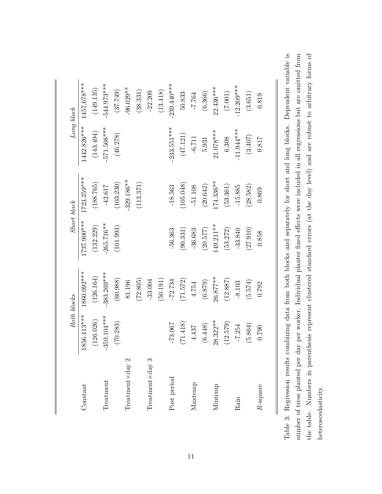|                                              |               | Both blocks   | Short block  |              |               | Long block    |
|----------------------------------------------|---------------|---------------|--------------|--------------|---------------|---------------|
| Constant                                     | 1856.413***   | 1860.092***   | 1737.900***  | 1723.259***  | 1442.826***   | 1457.678***   |
|                                              | (126.026)     | (126.164)     | (132.229)    | (188.765)    | (143.494)     | (149.135)     |
| $\Gamma$ reat $\mathop{\rm mean}\nolimits$ t | $-359.104***$ | $-383.269***$ | $-265.716**$ | $-42.617$    | $-571.508***$ | $-544.973***$ |
|                                              | (70.283)      | (60.988)      | (101.993)    | (103.230)    | (46.278)      | (37.749)      |
| Treatment $\times$ day 2                     |               | 81.196        |              | 329.186**    |               | $-96.029**$   |
|                                              |               | (72.805)      |              | (113.371)    |               | (38.331)      |
| $The atom 3$                                 |               | $-33.004$     |              |              |               | $-22.209$     |
|                                              |               | (50.191)      |              |              |               | (13.418)      |
| Post period                                  | $-73.067$     | $-72.734$     | $-56.363$    | $-18.563$    | $-233.551***$ | $-239.440***$ |
|                                              | (71.418)      | (71.572)      | (90.331)     | (105.048)    | (47.121)      | 50.833        |
| Maxtemp                                      | 4.437         | 4.754         | $-36.683$    | $-51.108$    | $-6.711$      | $-7.764$      |
|                                              | (6.448)       | (6.879)       | (20.577)     | (20.642)     | $5.931\,$     | (6.366)       |
| Mintemp                                      | $28.322***$   | $26.877***$   | $149.211***$ | $174.336***$ | $21.078***$   | $22.436***$   |
|                                              | (12.579)      | (12.887)      | (53.272)     | (53.361)     | 6.308         | (7.001)       |
| Rain                                         | $-7.254$      | $-8.103$      | $-33.840$    | $-15.885$    | $-11.944***$  | $12.209***$   |
|                                              | (5.864)       | (5.574)       | (27.910)     | (28.582)     | (3.407)       | (3.651)       |
| R-square                                     | 0.790         | 0.792         | 0.858        | 0.869        | 0.817         | 0.819         |

Table 3: Regression results combining data from both blocks and separately for short and long blocks. Dependent variable is the table. Numbers in parenthesis represent clustered standard errors (at the day level) and are robust to arbitrary forms of number of tress planted per day per worker. Individual planter fixed effects were included in all regressions but are omitted from Table 3: Regression results combining data from both blocks and separately for short and long blocks. Dependent variable is the table. Numbers in parenthesis represent clustered standard errors (at the day level) and are robust to arbitrary forms of number of tress planted per day per worker. Individual planter fixed effects were included in all regressions but are omitted from heteroscedasticity. heteroscedasticity.